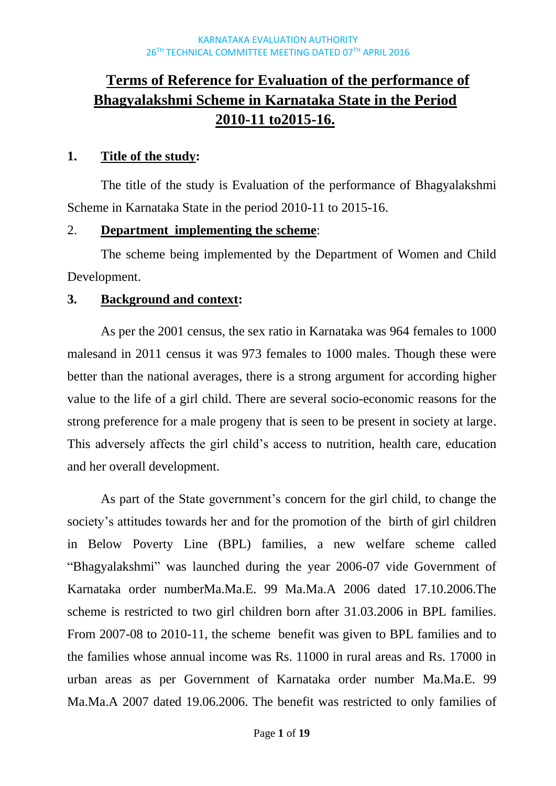# **Terms of Reference for Evaluation of the performance of Bhagyalakshmi Scheme in Karnataka State in the Period 2010-11 to2015-16.**

## **1. Title of the study:**

The title of the study is Evaluation of the performance of Bhagyalakshmi Scheme in Karnataka State in the period 2010-11 to 2015-16.

## 2. **Department implementing the scheme**:

The scheme being implemented by the Department of Women and Child Development.

## **3. Background and context:**

As per the 2001 census, the sex ratio in Karnataka was 964 females to 1000 malesand in 2011 census it was 973 females to 1000 males. Though these were better than the national averages, there is a strong argument for according higher value to the life of a girl child. There are several socio-economic reasons for the strong preference for a male progeny that is seen to be present in society at large. This adversely affects the girl child's access to nutrition, health care, education and her overall development.

As part of the State government's concern for the girl child, to change the society's attitudes towards her and for the promotion of the birth of girl children in Below Poverty Line (BPL) families, a new welfare scheme called "Bhagyalakshmi" was launched during the year 2006-07 vide Government of Karnataka order numberMa.Ma.E. 99 Ma.Ma.A 2006 dated 17.10.2006.The scheme is restricted to two girl children born after 31.03.2006 in BPL families. From 2007-08 to 2010-11, the scheme benefit was given to BPL families and to the families whose annual income was Rs. 11000 in rural areas and Rs. 17000 in urban areas as per Government of Karnataka order number Ma.Ma.E. 99 Ma.Ma.A 2007 dated 19.06.2006. The benefit was restricted to only families of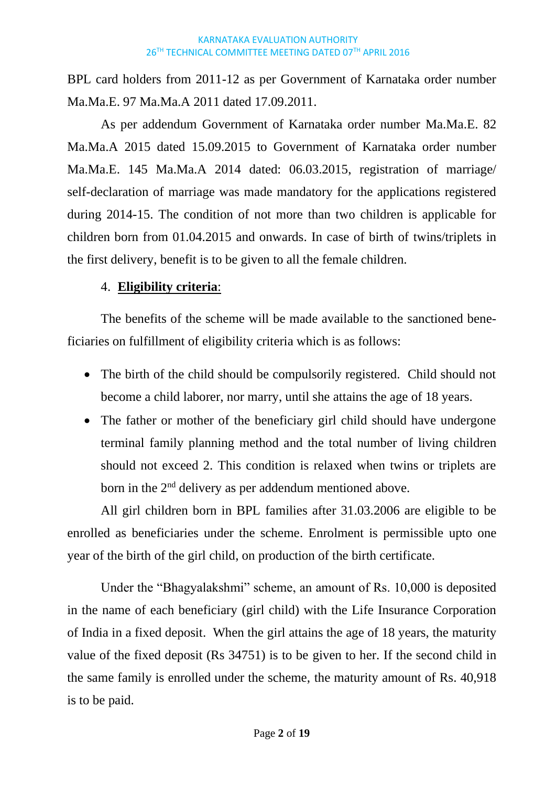BPL card holders from 2011-12 as per Government of Karnataka order number Ma.Ma.E. 97 Ma.Ma.A 2011 dated 17.09.2011.

As per addendum Government of Karnataka order number Ma.Ma.E. 82 Ma.Ma.A 2015 dated 15.09.2015 to Government of Karnataka order number Ma.Ma.E. 145 Ma.Ma.A 2014 dated: 06.03.2015, registration of marriage/ self-declaration of marriage was made mandatory for the applications registered during 2014-15. The condition of not more than two children is applicable for children born from 01.04.2015 and onwards. In case of birth of twins/triplets in the first delivery, benefit is to be given to all the female children.

## 4. **Eligibility criteria**:

The benefits of the scheme will be made available to the sanctioned beneficiaries on fulfillment of eligibility criteria which is as follows:

- The birth of the child should be compulsorily registered. Child should not become a child laborer, nor marry, until she attains the age of 18 years.
- The father or mother of the beneficiary girl child should have undergone terminal family planning method and the total number of living children should not exceed 2. This condition is relaxed when twins or triplets are born in the 2<sup>nd</sup> delivery as per addendum mentioned above.

All girl children born in BPL families after 31.03.2006 are eligible to be enrolled as beneficiaries under the scheme. Enrolment is permissible upto one year of the birth of the girl child, on production of the birth certificate.

Under the "Bhagyalakshmi" scheme, an amount of Rs. 10,000 is deposited in the name of each beneficiary (girl child) with the Life Insurance Corporation of India in a fixed deposit. When the girl attains the age of 18 years, the maturity value of the fixed deposit (Rs 34751) is to be given to her. If the second child in the same family is enrolled under the scheme, the maturity amount of Rs. 40,918 is to be paid.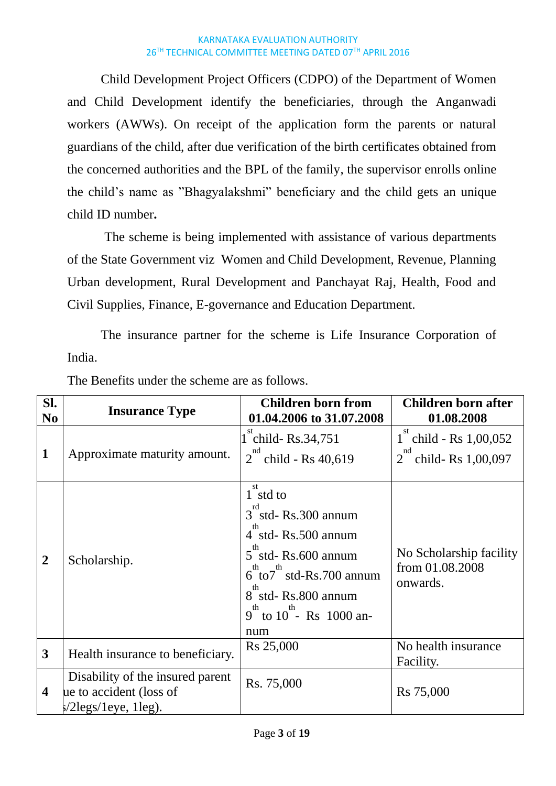Child Development Project Officers (CDPO) of the Department of Women and Child Development identify the beneficiaries, through the Anganwadi workers (AWWs). On receipt of the application form the parents or natural guardians of the child, after due verification of the birth certificates obtained from the concerned authorities and the BPL of the family, the supervisor enrolls online the child's name as "Bhagyalakshmi" beneficiary and the child gets an unique child ID number**.**

The scheme is being implemented with assistance of various departments of the State Government viz Women and Child Development, Revenue, Planning Urban development, Rural Development and Panchayat Raj, Health, Food and Civil Supplies, Finance, E-governance and Education Department.

The insurance partner for the scheme is Life Insurance Corporation of India.

| Sl.<br>N <sub>0</sub>   | <b>Insurance Type</b>                                                                                 | <b>Children born from</b><br>01.04.2006 to 31.07.2008                                                                                                                                                        | Children born after<br>01.08.2008                               |
|-------------------------|-------------------------------------------------------------------------------------------------------|--------------------------------------------------------------------------------------------------------------------------------------------------------------------------------------------------------------|-----------------------------------------------------------------|
| $\mathbf{1}$            | Approximate maturity amount.                                                                          | 1 child-Rs.34,751<br>nd<br>$\degree$ child - Rs 40,619<br>$\overline{2}$                                                                                                                                     | st<br>1 child - Rs $1,00,052$<br>nd<br>child-Rs $1,00,097$<br>2 |
| $\overline{2}$          | Scholarship.                                                                                          | st<br>$1$ std to<br>$3$ std-Rs.300 annum<br>4 std-Rs.500 annum<br>th<br>5 std-Rs.600 annum<br>$6\degree$ to $7\degree$ std-Rs. 700 annum<br>8 std-Rs.800 annum<br>$9^{th}$ to $10^{th}$ - Rs 1000 an-<br>num | No Scholarship facility<br>from 01.08.2008<br>onwards.          |
| $\overline{\mathbf{3}}$ | Health insurance to beneficiary.                                                                      | Rs 25,000                                                                                                                                                                                                    | No health insurance<br>Facility.                                |
| $\overline{\mathbf{4}}$ | Disability of the insured parent<br>ue to accident (loss of<br>$\frac{\epsilon}{2}$ legs/1eye, 1leg). | Rs. 75,000                                                                                                                                                                                                   | Rs 75,000                                                       |

The Benefits under the scheme are as follows.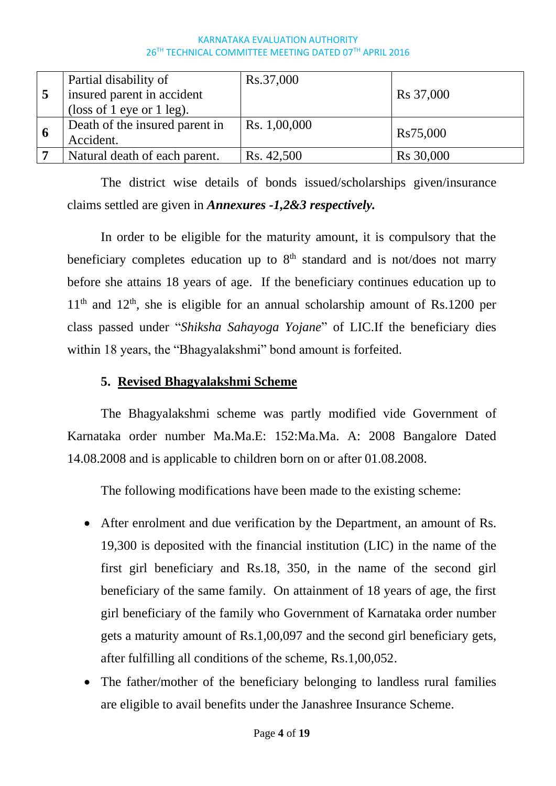|     | Partial disability of<br>insured parent in accident<br>(loss of 1 eye or 1 leg). | Rs.37,000    | Rs 37,000 |
|-----|----------------------------------------------------------------------------------|--------------|-----------|
| - 6 | Death of the insured parent in<br>Accident.                                      | Rs. 1,00,000 | Rs75,000  |
|     | Natural death of each parent.                                                    | Rs. 42,500   | Rs 30,000 |

The district wise details of bonds issued/scholarships given/insurance claims settled are given in *Annexures -1,2&3 respectively.*

In order to be eligible for the maturity amount, it is compulsory that the beneficiary completes education up to  $8<sup>th</sup>$  standard and is not/does not marry before she attains 18 years of age. If the beneficiary continues education up to  $11<sup>th</sup>$  and  $12<sup>th</sup>$ , she is eligible for an annual scholarship amount of Rs.1200 per class passed under "*Shiksha Sahayoga Yojane*" of LIC.If the beneficiary dies within 18 years, the "Bhagyalakshmi" bond amount is forfeited.

## **5. Revised Bhagyalakshmi Scheme**

The Bhagyalakshmi scheme was partly modified vide Government of Karnataka order number Ma.Ma.E: 152:Ma.Ma. A: 2008 Bangalore Dated 14.08.2008 and is applicable to children born on or after 01.08.2008.

The following modifications have been made to the existing scheme:

- After enrolment and due verification by the Department, an amount of Rs. 19,300 is deposited with the financial institution (LIC) in the name of the first girl beneficiary and Rs.18, 350, in the name of the second girl beneficiary of the same family. On attainment of 18 years of age, the first girl beneficiary of the family who Government of Karnataka order number gets a maturity amount of Rs.1,00,097 and the second girl beneficiary gets, after fulfilling all conditions of the scheme, Rs.1,00,052.
- The father/mother of the beneficiary belonging to landless rural families are eligible to avail benefits under the Janashree Insurance Scheme.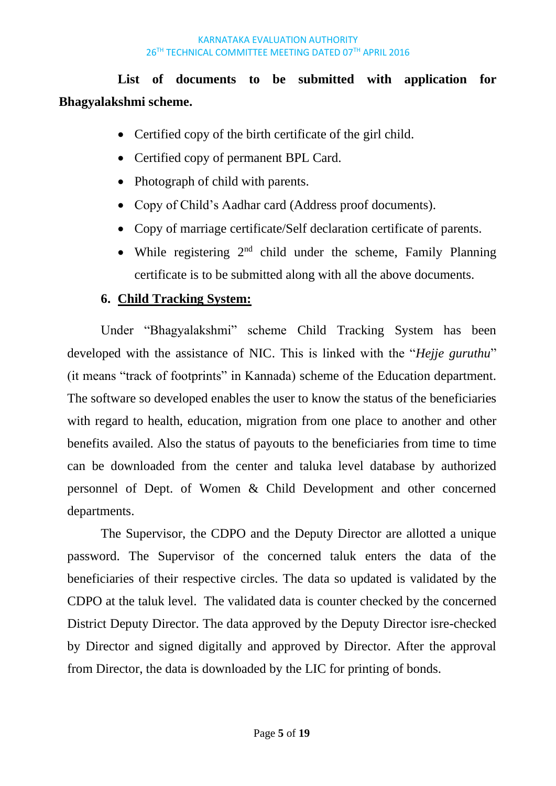# **List of documents to be submitted with application for Bhagyalakshmi scheme.**

- Certified copy of the birth certificate of the girl child.
- Certified copy of permanent BPL Card.
- Photograph of child with parents.
- Copy of Child's Aadhar card (Address proof documents).
- Copy of marriage certificate/Self declaration certificate of parents.
- While registering  $2<sup>nd</sup>$  child under the scheme, Family Planning certificate is to be submitted along with all the above documents.

## **6. Child Tracking System:**

Under "Bhagyalakshmi" scheme Child Tracking System has been developed with the assistance of NIC. This is linked with the "*Hejje guruthu*" (it means "track of footprints" in Kannada) scheme of the Education department. The software so developed enables the user to know the status of the beneficiaries with regard to health, education, migration from one place to another and other benefits availed. Also the status of payouts to the beneficiaries from time to time can be downloaded from the center and taluka level database by authorized personnel of Dept. of Women & Child Development and other concerned departments.

The Supervisor, the CDPO and the Deputy Director are allotted a unique password. The Supervisor of the concerned taluk enters the data of the beneficiaries of their respective circles. The data so updated is validated by the CDPO at the taluk level. The validated data is counter checked by the concerned District Deputy Director. The data approved by the Deputy Director isre-checked by Director and signed digitally and approved by Director. After the approval from Director, the data is downloaded by the LIC for printing of bonds.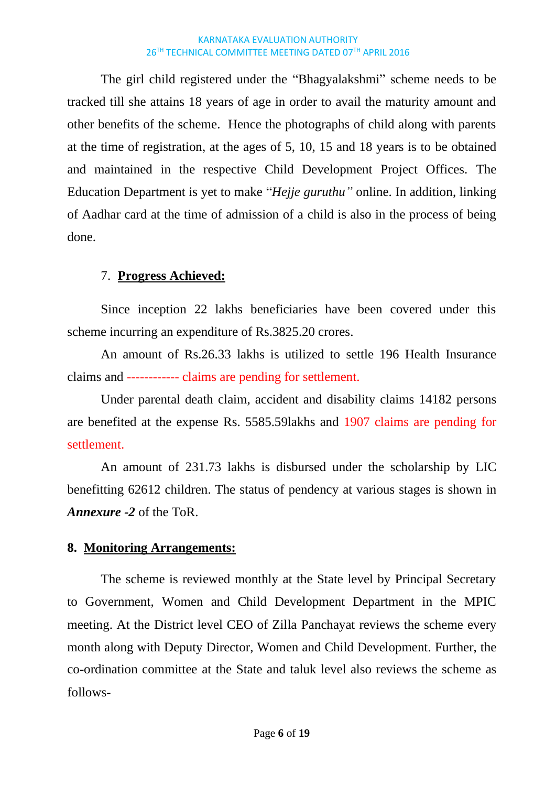The girl child registered under the "Bhagyalakshmi" scheme needs to be tracked till she attains 18 years of age in order to avail the maturity amount and other benefits of the scheme. Hence the photographs of child along with parents at the time of registration, at the ages of 5, 10, 15 and 18 years is to be obtained and maintained in the respective Child Development Project Offices. The Education Department is yet to make "*Hejje guruthu"* online. In addition, linking of Aadhar card at the time of admission of a child is also in the process of being done.

## 7. **Progress Achieved:**

Since inception 22 lakhs beneficiaries have been covered under this scheme incurring an expenditure of Rs.3825.20 crores.

An amount of Rs.26.33 lakhs is utilized to settle 196 Health Insurance claims and ------------ claims are pending for settlement.

Under parental death claim, accident and disability claims 14182 persons are benefited at the expense Rs. 5585.59lakhs and 1907 claims are pending for settlement.

An amount of 231.73 lakhs is disbursed under the scholarship by LIC benefitting 62612 children. The status of pendency at various stages is shown in *Annexure -2* of the ToR.

## **8. Monitoring Arrangements:**

The scheme is reviewed monthly at the State level by Principal Secretary to Government, Women and Child Development Department in the MPIC meeting. At the District level CEO of Zilla Panchayat reviews the scheme every month along with Deputy Director, Women and Child Development. Further, the co-ordination committee at the State and taluk level also reviews the scheme as follows-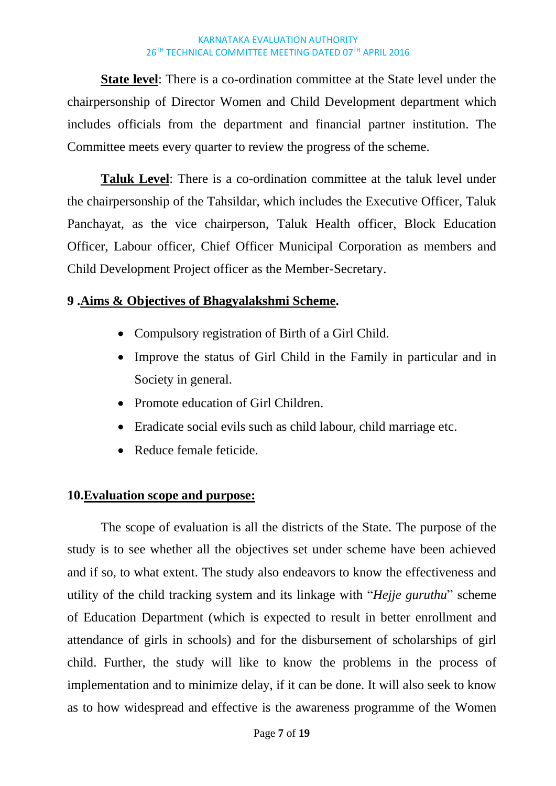**State level**: There is a co-ordination committee at the State level under the chairpersonship of Director Women and Child Development department which includes officials from the department and financial partner institution. The Committee meets every quarter to review the progress of the scheme.

**Taluk Level**: There is a co-ordination committee at the taluk level under the chairpersonship of the Tahsildar, which includes the Executive Officer, Taluk Panchayat, as the vice chairperson, Taluk Health officer, Block Education Officer, Labour officer, Chief Officer Municipal Corporation as members and Child Development Project officer as the Member-Secretary.

### **9 .Aims & Objectives of Bhagyalakshmi Scheme.**

- Compulsory registration of Birth of a Girl Child.
- Improve the status of Girl Child in the Family in particular and in Society in general.
- Promote education of Girl Children.
- Eradicate social evils such as child labour, child marriage etc.
- Reduce female feticide.

### **10.Evaluation scope and purpose:**

The scope of evaluation is all the districts of the State. The purpose of the study is to see whether all the objectives set under scheme have been achieved and if so, to what extent. The study also endeavors to know the effectiveness and utility of the child tracking system and its linkage with "*Hejje guruthu*" scheme of Education Department (which is expected to result in better enrollment and attendance of girls in schools) and for the disbursement of scholarships of girl child. Further, the study will like to know the problems in the process of implementation and to minimize delay, if it can be done. It will also seek to know as to how widespread and effective is the awareness programme of the Women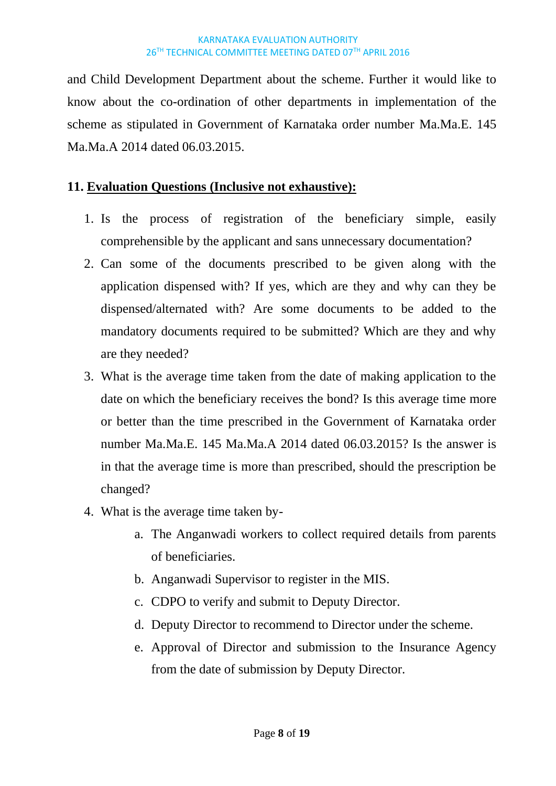and Child Development Department about the scheme. Further it would like to know about the co-ordination of other departments in implementation of the scheme as stipulated in Government of Karnataka order number Ma.Ma.E. 145 Ma.Ma.A 2014 dated 06.03.2015.

## **11. Evaluation Questions (Inclusive not exhaustive):**

- 1. Is the process of registration of the beneficiary simple, easily comprehensible by the applicant and sans unnecessary documentation?
- 2. Can some of the documents prescribed to be given along with the application dispensed with? If yes, which are they and why can they be dispensed/alternated with? Are some documents to be added to the mandatory documents required to be submitted? Which are they and why are they needed?
- 3. What is the average time taken from the date of making application to the date on which the beneficiary receives the bond? Is this average time more or better than the time prescribed in the Government of Karnataka order number Ma.Ma.E. 145 Ma.Ma.A 2014 dated 06.03.2015? Is the answer is in that the average time is more than prescribed, should the prescription be changed?
- 4. What is the average time taken by
	- a. The Anganwadi workers to collect required details from parents of beneficiaries.
	- b. Anganwadi Supervisor to register in the MIS.
	- c. CDPO to verify and submit to Deputy Director.
	- d. Deputy Director to recommend to Director under the scheme.
	- e. Approval of Director and submission to the Insurance Agency from the date of submission by Deputy Director.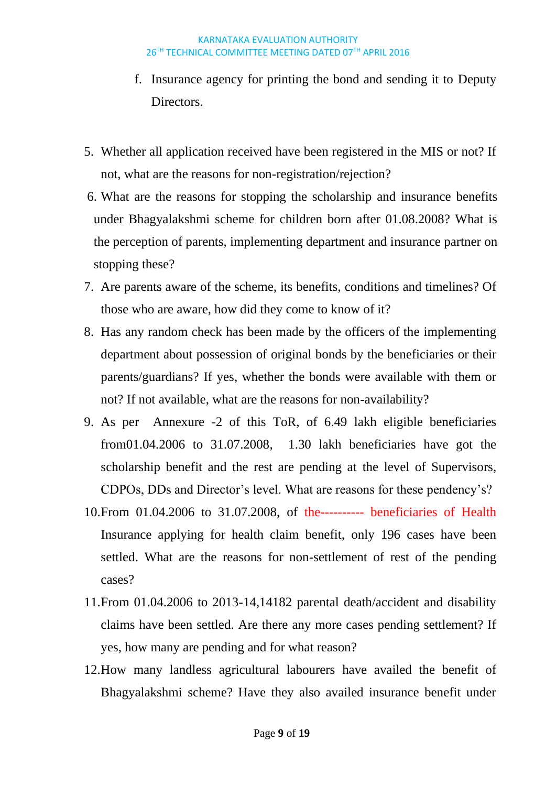- f. Insurance agency for printing the bond and sending it to Deputy **Directors**
- 5. Whether all application received have been registered in the MIS or not? If not, what are the reasons for non-registration/rejection?
- 6. What are the reasons for stopping the scholarship and insurance benefits under Bhagyalakshmi scheme for children born after 01.08.2008? What is the perception of parents, implementing department and insurance partner on stopping these?
- 7. Are parents aware of the scheme, its benefits, conditions and timelines? Of those who are aware, how did they come to know of it?
- 8. Has any random check has been made by the officers of the implementing department about possession of original bonds by the beneficiaries or their parents/guardians? If yes, whether the bonds were available with them or not? If not available, what are the reasons for non-availability?
- 9. As per Annexure -2 of this ToR, of 6.49 lakh eligible beneficiaries from01.04.2006 to 31.07.2008, 1.30 lakh beneficiaries have got the scholarship benefit and the rest are pending at the level of Supervisors, CDPOs, DDs and Director's level. What are reasons for these pendency's?
- 10.From 01.04.2006 to 31.07.2008, of the---------- beneficiaries of Health Insurance applying for health claim benefit, only 196 cases have been settled. What are the reasons for non-settlement of rest of the pending cases?
- 11.From 01.04.2006 to 2013-14,14182 parental death/accident and disability claims have been settled. Are there any more cases pending settlement? If yes, how many are pending and for what reason?
- 12.How many landless agricultural labourers have availed the benefit of Bhagyalakshmi scheme? Have they also availed insurance benefit under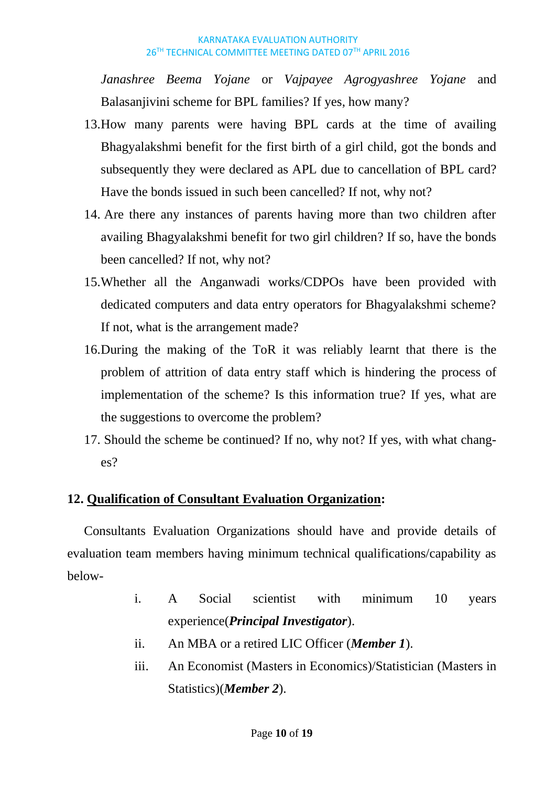*Janashree Beema Yojane* or *Vajpayee Agrogyashree Yojane* and Balasanjivini scheme for BPL families? If yes, how many?

- 13.How many parents were having BPL cards at the time of availing Bhagyalakshmi benefit for the first birth of a girl child, got the bonds and subsequently they were declared as APL due to cancellation of BPL card? Have the bonds issued in such been cancelled? If not, why not?
- 14. Are there any instances of parents having more than two children after availing Bhagyalakshmi benefit for two girl children? If so, have the bonds been cancelled? If not, why not?
- 15.Whether all the Anganwadi works/CDPOs have been provided with dedicated computers and data entry operators for Bhagyalakshmi scheme? If not, what is the arrangement made?
- 16.During the making of the ToR it was reliably learnt that there is the problem of attrition of data entry staff which is hindering the process of implementation of the scheme? Is this information true? If yes, what are the suggestions to overcome the problem?
- 17. Should the scheme be continued? If no, why not? If yes, with what changes?

## **12. Qualification of Consultant Evaluation Organization:**

Consultants Evaluation Organizations should have and provide details of evaluation team members having minimum technical qualifications/capability as below-

- i. A Social scientist with minimum 10 years experience(*Principal Investigator*).
- ii. An MBA or a retired LIC Officer (*Member 1*).
- iii. An Economist (Masters in Economics)/Statistician (Masters in Statistics)(*Member 2*).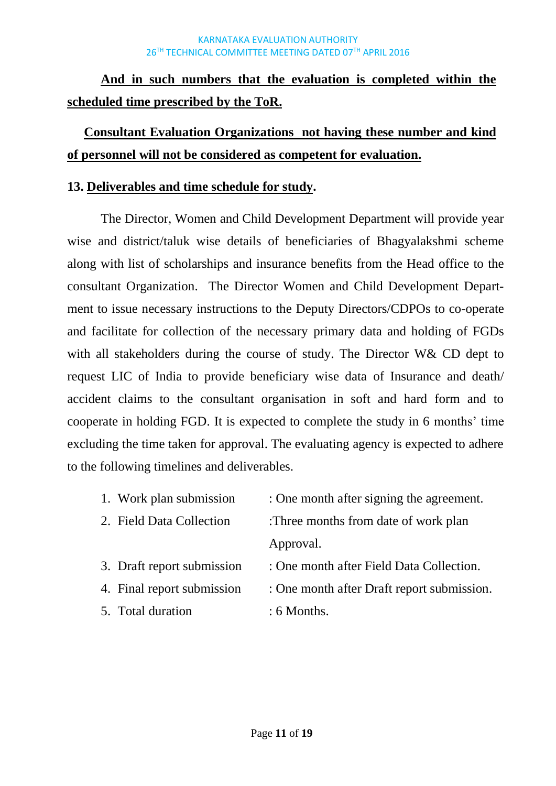# **And in such numbers that the evaluation is completed within the scheduled time prescribed by the ToR.**

# **Consultant Evaluation Organizations not having these number and kind of personnel will not be considered as competent for evaluation.**

## **13. Deliverables and time schedule for study.**

The Director, Women and Child Development Department will provide year wise and district/taluk wise details of beneficiaries of Bhagyalakshmi scheme along with list of scholarships and insurance benefits from the Head office to the consultant Organization. The Director Women and Child Development Department to issue necessary instructions to the Deputy Directors/CDPOs to co-operate and facilitate for collection of the necessary primary data and holding of FGDs with all stakeholders during the course of study. The Director W& CD dept to request LIC of India to provide beneficiary wise data of Insurance and death/ accident claims to the consultant organisation in soft and hard form and to cooperate in holding FGD. It is expected to complete the study in 6 months' time excluding the time taken for approval. The evaluating agency is expected to adhere to the following timelines and deliverables.

- 1. Work plan submission : One month after signing the agreement.
- 2. Field Data Collection :Three months from date of work plan Approval.
- 3. Draft report submission : One month after Field Data Collection.
- -
- 5. Total duration : 6 Months.
- 
- 4. Final report submission : One month after Draft report submission.
	-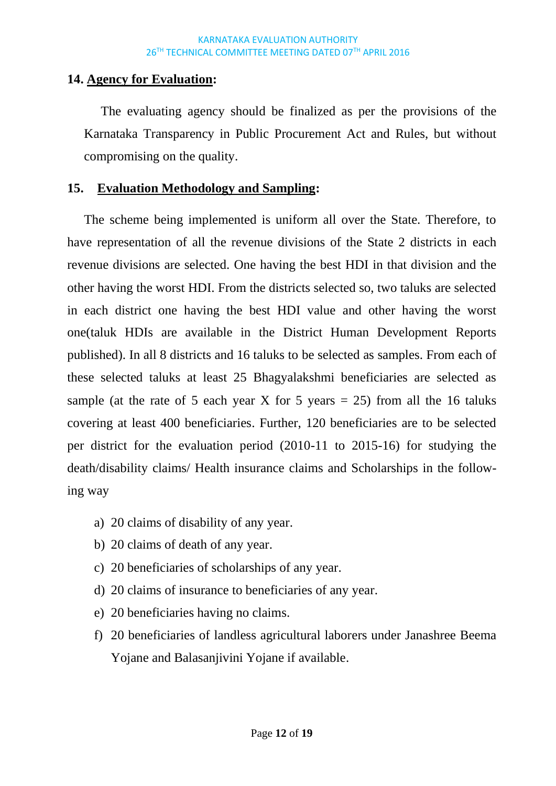## **14. Agency for Evaluation:**

The evaluating agency should be finalized as per the provisions of the Karnataka Transparency in Public Procurement Act and Rules, but without compromising on the quality.

## **15. Evaluation Methodology and Sampling:**

The scheme being implemented is uniform all over the State. Therefore, to have representation of all the revenue divisions of the State 2 districts in each revenue divisions are selected. One having the best HDI in that division and the other having the worst HDI. From the districts selected so, two taluks are selected in each district one having the best HDI value and other having the worst one(taluk HDIs are available in the District Human Development Reports published). In all 8 districts and 16 taluks to be selected as samples. From each of these selected taluks at least 25 Bhagyalakshmi beneficiaries are selected as sample (at the rate of 5 each year X for 5 years  $= 25$ ) from all the 16 taluks covering at least 400 beneficiaries. Further, 120 beneficiaries are to be selected per district for the evaluation period (2010-11 to 2015-16) for studying the death/disability claims/ Health insurance claims and Scholarships in the following way

- a) 20 claims of disability of any year.
- b) 20 claims of death of any year.
- c) 20 beneficiaries of scholarships of any year.
- d) 20 claims of insurance to beneficiaries of any year.
- e) 20 beneficiaries having no claims.
- f) 20 beneficiaries of landless agricultural laborers under Janashree Beema Yojane and Balasanjivini Yojane if available.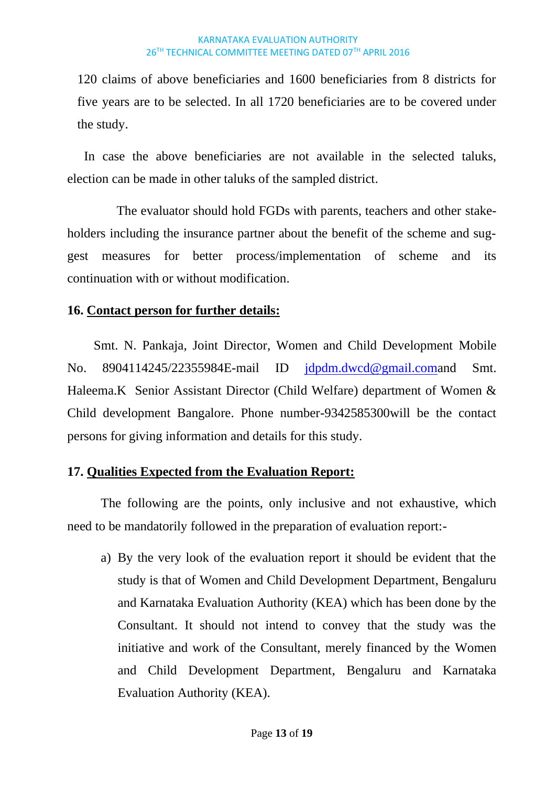120 claims of above beneficiaries and 1600 beneficiaries from 8 districts for five years are to be selected. In all 1720 beneficiaries are to be covered under the study.

In case the above beneficiaries are not available in the selected taluks, election can be made in other taluks of the sampled district.

 The evaluator should hold FGDs with parents, teachers and other stakeholders including the insurance partner about the benefit of the scheme and suggest measures for better process/implementation of scheme and its continuation with or without modification.

## **16. Contact person for further details:**

Smt. N. Pankaja, Joint Director, Women and Child Development Mobile No. 8904114245/22355984E-mail ID [jdpdm.dwcd@gmail.coma](mailto:jdpdm.dwcd@gmail.com)nd Smt. Haleema.K Senior Assistant Director (Child Welfare) department of Women & Child development Bangalore. Phone number-9342585300will be the contact persons for giving information and details for this study.

## **17. Qualities Expected from the Evaluation Report:**

The following are the points, only inclusive and not exhaustive, which need to be mandatorily followed in the preparation of evaluation report:-

a) By the very look of the evaluation report it should be evident that the study is that of Women and Child Development Department, Bengaluru and Karnataka Evaluation Authority (KEA) which has been done by the Consultant. It should not intend to convey that the study was the initiative and work of the Consultant, merely financed by the Women and Child Development Department, Bengaluru and Karnataka Evaluation Authority (KEA).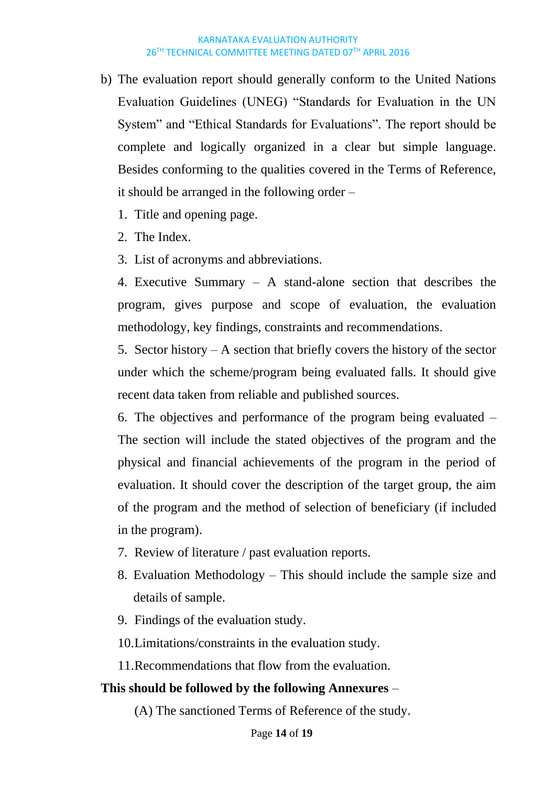b) The evaluation report should generally conform to the United Nations Evaluation Guidelines (UNEG) "Standards for Evaluation in the UN System" and "Ethical Standards for Evaluations". The report should be complete and logically organized in a clear but simple language. Besides conforming to the qualities covered in the Terms of Reference, it should be arranged in the following order –

1. Title and opening page.

2. The Index.

3. List of acronyms and abbreviations.

4. Executive Summary – A stand-alone section that describes the program, gives purpose and scope of evaluation, the evaluation methodology, key findings, constraints and recommendations.

5. Sector history – A section that briefly covers the history of the sector under which the scheme/program being evaluated falls. It should give recent data taken from reliable and published sources.

6. The objectives and performance of the program being evaluated – The section will include the stated objectives of the program and the physical and financial achievements of the program in the period of evaluation. It should cover the description of the target group, the aim of the program and the method of selection of beneficiary (if included in the program).

- 7. Review of literature / past evaluation reports.
- 8. Evaluation Methodology This should include the sample size and details of sample.
- 9. Findings of the evaluation study.

10.Limitations/constraints in the evaluation study.

11.Recommendations that flow from the evaluation.

### **This should be followed by the following Annexures** –

(A) The sanctioned Terms of Reference of the study.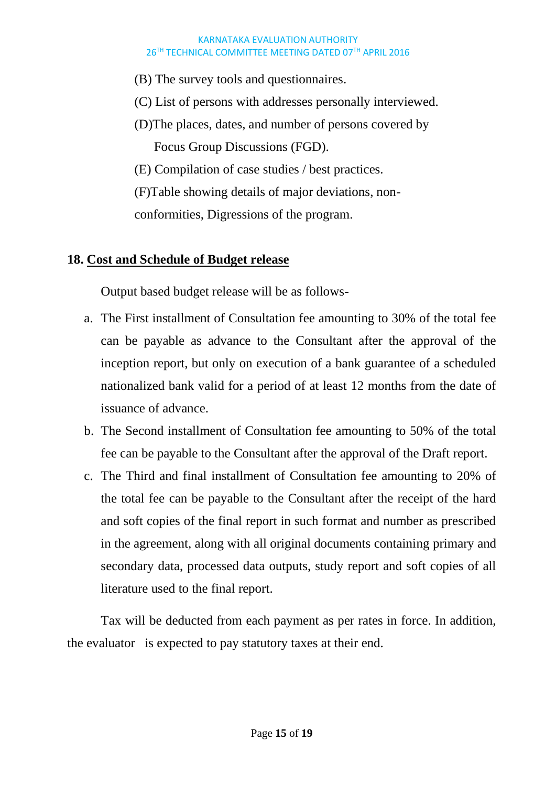- (B) The survey tools and questionnaires.
- (C) List of persons with addresses personally interviewed.
- (D)The places, dates, and number of persons covered by Focus Group Discussions (FGD).
- (E) Compilation of case studies / best practices.
- (F)Table showing details of major deviations, non-

conformities, Digressions of the program.

## **18. Cost and Schedule of Budget release**

Output based budget release will be as follows-

- a. The First installment of Consultation fee amounting to 30% of the total fee can be payable as advance to the Consultant after the approval of the inception report, but only on execution of a bank guarantee of a scheduled nationalized bank valid for a period of at least 12 months from the date of issuance of advance.
- b. The Second installment of Consultation fee amounting to 50% of the total fee can be payable to the Consultant after the approval of the Draft report.
- c. The Third and final installment of Consultation fee amounting to 20% of the total fee can be payable to the Consultant after the receipt of the hard and soft copies of the final report in such format and number as prescribed in the agreement, along with all original documents containing primary and secondary data, processed data outputs, study report and soft copies of all literature used to the final report.

Tax will be deducted from each payment as per rates in force. In addition, the evaluator is expected to pay statutory taxes at their end.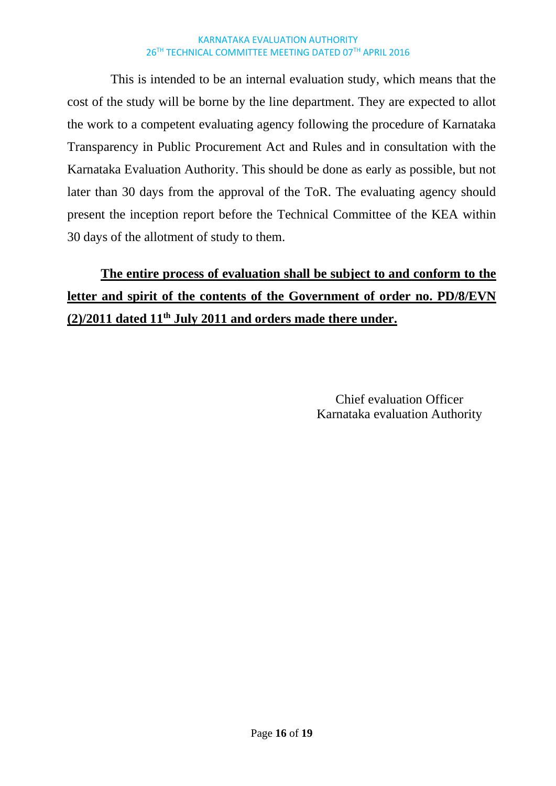This is intended to be an internal evaluation study, which means that the cost of the study will be borne by the line department. They are expected to allot the work to a competent evaluating agency following the procedure of Karnataka Transparency in Public Procurement Act and Rules and in consultation with the Karnataka Evaluation Authority. This should be done as early as possible, but not later than 30 days from the approval of the ToR. The evaluating agency should present the inception report before the Technical Committee of the KEA within 30 days of the allotment of study to them.

# **The entire process of evaluation shall be subject to and conform to the letter and spirit of the contents of the Government of order no. PD/8/EVN (2)/2011 dated 11th July 2011 and orders made there under.**

Chief evaluation Officer Karnataka evaluation Authority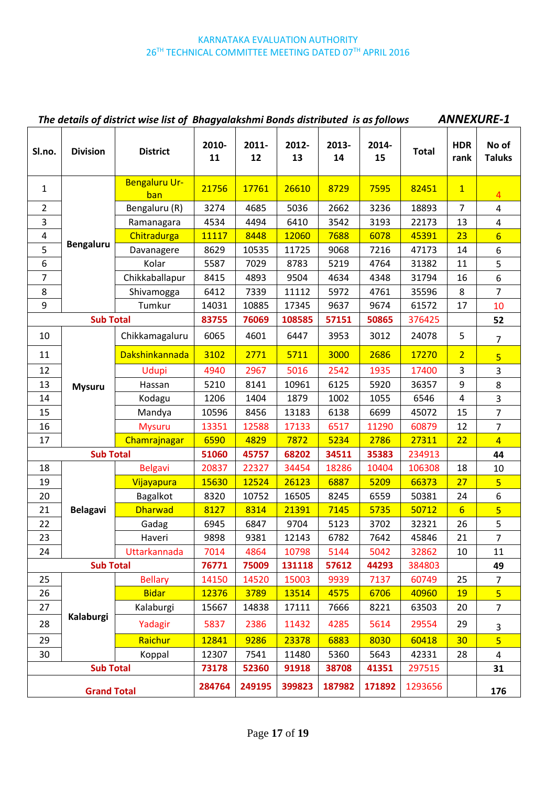|                  | <b>ANNEXURE-1</b><br>The details of district wise list of Bhagyalakshmi Bonds distributed is as follows |                       |             |             |             |             |             |              |                    |                         |
|------------------|---------------------------------------------------------------------------------------------------------|-----------------------|-------------|-------------|-------------|-------------|-------------|--------------|--------------------|-------------------------|
| Sl.no.           | <b>Division</b>                                                                                         | <b>District</b>       | 2010-<br>11 | 2011-<br>12 | 2012-<br>13 | 2013-<br>14 | 2014-<br>15 | <b>Total</b> | <b>HDR</b><br>rank | No of<br><b>Taluks</b>  |
| $\mathbf{1}$     |                                                                                                         | Bengaluru Ur-<br>ban  | 21756       | 17761       | 26610       | 8729        | 7595        | 82451        | $\mathbf{1}$       | $\overline{4}$          |
| $\overline{2}$   |                                                                                                         | Bengaluru (R)         | 3274        | 4685        | 5036        | 2662        | 3236        | 18893        | 7                  | $\overline{4}$          |
| 3                |                                                                                                         | Ramanagara            | 4534        | 4494        | 6410        | 3542        | 3193        | 22173        | 13                 | $\overline{\mathbf{4}}$ |
| 4                |                                                                                                         | Chitradurga           | 11117       | 8448        | 12060       | 7688        | 6078        | 45391        | 23                 | $6\overline{6}$         |
| 5                | <b>Bengaluru</b>                                                                                        | Davanagere            | 8629        | 10535       | 11725       | 9068        | 7216        | 47173        | 14                 | 6                       |
| 6                |                                                                                                         | Kolar                 | 5587        | 7029        | 8783        | 5219        | 4764        | 31382        | 11                 | 5                       |
| $\overline{7}$   |                                                                                                         | Chikkaballapur        | 8415        | 4893        | 9504        | 4634        | 4348        | 31794        | 16                 | $\boldsymbol{6}$        |
| 8                |                                                                                                         | Shivamogga            | 6412        | 7339        | 11112       | 5972        | 4761        | 35596        | 8                  | $\overline{7}$          |
| 9                |                                                                                                         | Tumkur                | 14031       | 10885       | 17345       | 9637        | 9674        | 61572        | 17                 | 10                      |
|                  | <b>Sub Total</b>                                                                                        |                       | 83755       | 76069       | 108585      | 57151       | 50865       | 376425       |                    | 52                      |
| 10               |                                                                                                         | Chikkamagaluru        | 6065        | 4601        | 6447        | 3953        | 3012        | 24078        | 5                  | $\overline{7}$          |
| 11               |                                                                                                         | <b>Dakshinkannada</b> | 3102        | 2771        | 5711        | 3000        | 2686        | 17270        | $\overline{2}$     | $\overline{\mathbf{5}}$ |
| 12               |                                                                                                         | Udupi                 | 4940        | 2967        | 5016        | 2542        | 1935        | 17400        | 3                  | 3                       |
| 13               | <b>Mysuru</b>                                                                                           | Hassan                | 5210        | 8141        | 10961       | 6125        | 5920        | 36357        | 9                  | 8                       |
| 14               |                                                                                                         | Kodagu                | 1206        | 1404        | 1879        | 1002        | 1055        | 6546         | 4                  | 3                       |
| 15               |                                                                                                         | Mandya                | 10596       | 8456        | 13183       | 6138        | 6699        | 45072        | 15                 | $\overline{7}$          |
| 16               |                                                                                                         | <b>Mysuru</b>         | 13351       | 12588       | 17133       | 6517        | 11290       | 60879        | 12                 | $\overline{7}$          |
| 17               |                                                                                                         | Chamrajnagar          | 6590        | 4829        | 7872        | 5234        | 2786        | 27311        | 22                 | $\overline{4}$          |
| <b>Sub Total</b> |                                                                                                         |                       | 51060       | 45757       | 68202       | 34511       | 35383       | 234913       |                    | 44                      |
| 18               |                                                                                                         | <b>Belgavi</b>        | 20837       | 22327       | 34454       | 18286       | 10404       | 106308       | 18                 | 10                      |
| 19               |                                                                                                         | Vijayapura            | 15630       | 12524       | 26123       | 6887        | 5209        | 66373        | 27                 | $\overline{5}$          |
| 20               |                                                                                                         | Bagalkot              | 8320        | 10752       | 16505       | 8245        | 6559        | 50381        | 24                 | 6                       |
| 21               | <b>Belagavi</b>                                                                                         | <b>Dharwad</b>        | 8127        | 8314        | 21391       | 7145        | 5735        | 50712        | $6 \overline{6}$   | $\overline{\mathbf{5}}$ |
| 22               |                                                                                                         | Gadag                 | 6945        | 6847        | 9704        | 5123        | 3702        | 32321        | 26                 | 5                       |
| 23               |                                                                                                         | Haveri                | 9898        | 9381        | 12143       | 6782        | 7642        | 45846        | 21                 | 7                       |
| 24               |                                                                                                         | Uttarkannada          | 7014        | 4864        | 10798       | 5144        | 5042        | 32862        | 10                 | 11                      |
|                  | <b>Sub Total</b>                                                                                        |                       | 76771       | 75009       | 131118      | 57612       | 44293       | 384803       |                    | 49                      |
| 25               |                                                                                                         | <b>Bellary</b>        | 14150       | 14520       | 15003       | 9939        | 7137        | 60749        | 25                 | $\overline{7}$          |
| 26               |                                                                                                         | <b>Bidar</b>          | 12376       | 3789        | 13514       | 4575        | 6706        | 40960        | <b>19</b>          | 5                       |
| 27               |                                                                                                         | Kalaburgi             | 15667       | 14838       | 17111       | 7666        | 8221        | 63503        | 20                 | $\overline{7}$          |
| 28               | Kalaburgi                                                                                               | Yadagir               | 5837        | 2386        | 11432       | 4285        | 5614        | 29554        | 29                 | 3                       |
| 29               |                                                                                                         | Raichur               | 12841       | 9286        | 23378       | 6883        | 8030        | 60418        | 30 <sub>2</sub>    | $\overline{5}$          |
| 30               |                                                                                                         | Koppal                | 12307       | 7541        | 11480       | 5360        | 5643        | 42331        | 28                 | 4                       |
|                  | <b>Sub Total</b>                                                                                        |                       | 73178       | 52360       | 91918       | 38708       | 41351       | 297515       |                    | 31                      |
|                  | <b>Grand Total</b>                                                                                      |                       | 284764      | 249195      | 399823      | 187982      | 171892      | 1293656      |                    | 176                     |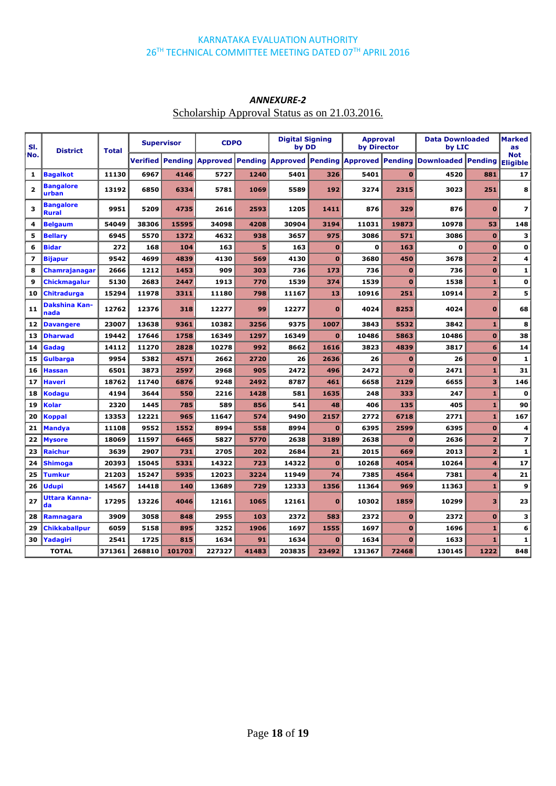| SI.<br><b>District</b><br><b>Total</b> |                                  | <b>Supervisor</b> |        | <b>CDPO</b> |                                                   | <b>Digital Signing</b><br>by DD |        | <b>Approval</b><br>by Director |                         | <b>Data Downloaded</b><br>by LIC |                           | Marked<br><b>as</b> |                               |
|----------------------------------------|----------------------------------|-------------------|--------|-------------|---------------------------------------------------|---------------------------------|--------|--------------------------------|-------------------------|----------------------------------|---------------------------|---------------------|-------------------------------|
| No.                                    |                                  |                   |        |             | <b>Verified Pending Approved Pending Approved</b> |                                 |        |                                | <b>Pending Approved</b> | <b>Pending</b>                   | <b>Downloaded Pending</b> |                     | <b>Not</b><br><b>Eligible</b> |
| 1                                      | <b>Bagalkot</b>                  | 11130             | 6967   | 4146        | 5727                                              | 1240                            | 5401   | 326                            | 5401                    | $\bf{0}$                         | 4520                      | 881                 | 17                            |
| $\overline{\mathbf{2}}$                | <b>Bangalore</b><br>urban        | 13192             | 6850   | 6334        | 5781                                              | 1069                            | 5589   | 192                            | 3274                    | 2315                             | 3023                      | 251                 | 8                             |
| з                                      | <b>Bangalore</b><br><b>Rural</b> | 9951              | 5209   | 4735        | 2616                                              | 2593                            | 1205   | 1411                           | 876                     | 329                              | 876                       | $\bf{0}$            | $\overline{z}$                |
| 4                                      | <b>Belgaum</b>                   | 54049             | 38306  | 15595       | 34098                                             | 4208                            | 30904  | 3194                           | 11031                   | 19873                            | 10978                     | 53                  | 148                           |
| 5                                      | <b>Bellary</b>                   | 6945              | 5570   | 1372        | 4632                                              | 938                             | 3657   | 975                            | 3086                    | 571                              | 3086                      | $\bf{0}$            | з                             |
| 6                                      | <b>Bidar</b>                     | 272               | 168    | 104         | 163                                               | 5                               | 163    | $\bf{0}$                       | 0                       | 163                              | 0                         | $\mathbf 0$         | $\mathbf o$                   |
| $\overline{\mathbf{z}}$                | <b>Bijapur</b>                   | 9542              | 4699   | 4839        | 4130                                              | 569                             | 4130   | $\bf{0}$                       | 3680                    | 450                              | 3678                      | $\overline{2}$      | 4                             |
| 8                                      | Chamrajanagar                    | 2666              | 1212   | 1453        | 909                                               | 303                             | 736    | 173                            | 736                     | $\mathbf{0}$                     | 736                       | $\mathbf{o}$        | $\mathbf{1}$                  |
| 9                                      | Chickmagalur                     | 5130              | 2683   | 2447        | 1913                                              | 770                             | 1539   | 374                            | 1539                    | $\mathbf{0}$                     | 1538                      | $\mathbf{1}$        | $\mathbf 0$                   |
| 10                                     | Chitradurga                      | 15294             | 11978  | 3311        | 11180                                             | 798                             | 11167  | 13                             | 10916                   | 251                              | 10914                     | $\overline{2}$      | 5                             |
| 11                                     | Dakshina Kan-<br>nada            | 12762             | 12376  | 318         | 12277                                             | 99                              | 12277  | $\bf{0}$                       | 4024                    | 8253                             | 4024                      | $\bf{0}$            | 68                            |
| 12                                     | <b>Davangere</b>                 | 23007             | 13638  | 9361        | 10382                                             | 3256                            | 9375   | 1007                           | 3843                    | 5532                             | 3842                      | $\mathbf{1}$        | 8                             |
| 13                                     | <b>Dharwad</b>                   | 19442             | 17646  | 1758        | 16349                                             | 1297                            | 16349  | $\bf{0}$                       | 10486                   | 5863                             | 10486                     | $\bf{0}$            | 38                            |
| 14                                     | Gadag                            | 14112             | 11270  | 2828        | 10278                                             | 992                             | 8662   | 1616                           | 3823                    | 4839                             | 3817                      | 6                   | 14                            |
| 15                                     | Gulbarga                         | 9954              | 5382   | 4571        | 2662                                              | 2720                            | 26     | 2636                           | 26                      | $\mathbf{O}$                     | 26                        | $\mathbf{o}$        | $\mathbf{1}$                  |
| 16                                     | <b>Hassan</b>                    | 6501              | 3873   | 2597        | 2968                                              | 905                             | 2472   | 496                            | 2472                    | $\mathbf{0}$                     | 2471                      | $\mathbf{1}$        | 31                            |
| 17                                     | Haveri                           | 18762             | 11740  | 6876        | 9248                                              | 2492                            | 8787   | 461                            | 6658                    | 2129                             | 6655                      | 3                   | 146                           |
| 18                                     | Kodagu                           | 4194              | 3644   | 550         | 2216                                              | 1428                            | 581    | 1635                           | 248                     | 333                              | 247                       | $\mathbf{1}$        | $\mathbf{o}$                  |
| 19                                     | Kolar                            | 2320              | 1445   | 785         | 589                                               | 856                             | 541    | 48                             | 406                     | 135                              | 405                       | $\mathbf{1}$        | 90                            |
| 20                                     | Koppal                           | 13353             | 12221  | 965         | 11647                                             | 574                             | 9490   | 2157                           | 2772                    | 6718                             | 2771                      | $\mathbf{1}$        | 167                           |
| 21                                     | <b>Mandya</b>                    | 11108             | 9552   | 1552        | 8994                                              | 558                             | 8994   | $\bf{0}$                       | 6395                    | 2599                             | 6395                      | $\mathbf{0}$        | 4                             |
| 22                                     | <b>Mysore</b>                    | 18069             | 11597  | 6465        | 5827                                              | 5770                            | 2638   | 3189                           | 2638                    | $\mathbf{0}$                     | 2636                      | $\overline{2}$      | $\overline{\mathbf{z}}$       |
| 23                                     | Raichur                          | 3639              | 2907   | 731         | 2705                                              | 202                             | 2684   | 21                             | 2015                    | 669                              | 2013                      | $\overline{2}$      | $\mathbf{1}$                  |
| 24                                     | <b>Shimoga</b>                   | 20393             | 15045  | 5331        | 14322                                             | 723                             | 14322  | $\bf{0}$                       | 10268                   | 4054                             | 10264                     | 4                   | 17                            |
| 25                                     | Tumkur                           | 21203             | 15247  | 5935        | 12023                                             | 3224                            | 11949  | 74                             | 7385                    | 4564                             | 7381                      | 4                   | 21                            |
| 26                                     | Udupi                            | 14567             | 14418  | 140         | 13689                                             | 729                             | 12333  | 1356                           | 11364                   | 969                              | 11363                     | $\mathbf{1}$        | 9                             |
| 27                                     | Uttara Kanna-<br>da              | 17295             | 13226  | 4046        | 12161                                             | 1065                            | 12161  | $\bf{0}$                       | 10302                   | 1859                             | 10299                     | з                   | 23                            |
| 28                                     | Ramnagara                        | 3909              | 3058   | 848         | 2955                                              | 103                             | 2372   | 583                            | 2372                    | $\bf{0}$                         | 2372                      | $\mathbf{o}$        | 3                             |
| 29                                     | Chikkaballpur                    | 6059              | 5158   | 895         | 3252                                              | 1906                            | 1697   | 1555                           | 1697                    | $\bf{0}$                         | 1696                      | $\mathbf{1}$        | 6                             |
| 30                                     | Yadagiri                         | 2541              | 1725   | 815         | 1634                                              | 91                              | 1634   | $\bf{0}$                       | 1634                    | $\mathbf{0}$                     | 1633                      | $\mathbf{1}$        | $\mathbf 1$                   |
|                                        | <b>TOTAL</b>                     | 371361            | 268810 | 101703      | 227327                                            | 41483                           | 203835 | 23492                          | 131367                  | 72468                            | 130145                    | 1222                | 848                           |
|                                        |                                  |                   |        |             |                                                   |                                 |        |                                |                         |                                  |                           |                     |                               |

### *ANNEXURE-2*

### Scholarship Approval Status as on 21.03.2016.